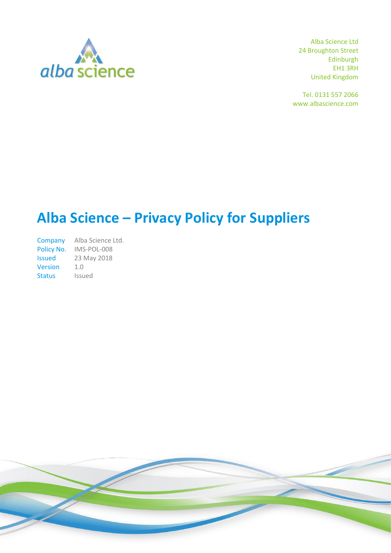

Alba Science Ltd 24 Broughton Street Edinburgh EH1 3RH United Kingdom

Tel. 0131 557 2066 www.albascience.com

# **Alba Science – Privacy Policy for Suppliers**

Company Alba Science Ltd. Policy No. IMS-POL-008 Issued 23 May 2018 Version 1.0 Status Issued

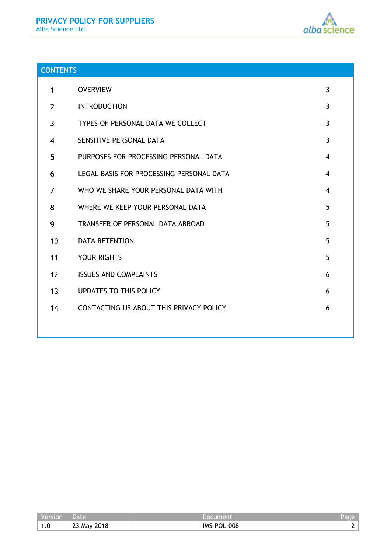

# **CONTENTS**

| 1              | <b>OVERVIEW</b>                          | 3              |
|----------------|------------------------------------------|----------------|
| $\overline{2}$ | <b>INTRODUCTION</b>                      | 3              |
| 3              | TYPES OF PERSONAL DATA WE COLLECT        | $\mathbf{3}$   |
| 4              | SENSITIVE PERSONAL DATA                  | $\overline{3}$ |
| 5              | PURPOSES FOR PROCESSING PERSONAL DATA    | $\overline{4}$ |
| 6              | LEGAL BASIS FOR PROCESSING PERSONAL DATA | 4              |
| 7              | WHO WE SHARE YOUR PERSONAL DATA WITH     | $\overline{4}$ |
| 8              | WHERE WE KEEP YOUR PERSONAL DATA         | 5              |
| 9              | TRANSFER OF PERSONAL DATA ABROAD         | 5              |
| 10             | <b>DATA RETENTION</b>                    | 5              |
| 11             | <b>YOUR RIGHTS</b>                       | 5              |
| 12             | <b>ISSUES AND COMPLAINTS</b>             | 6              |
| 13             | <b>UPDATES TO THIS POLICY</b>            | 6              |
| 14             | CONTACTING US ABOUT THIS PRIVACY POLICY  | 6              |
|                |                                          |                |

| version               | Jate                               |                         | $\epsilon$ ele $\epsilon$ |
|-----------------------|------------------------------------|-------------------------|---------------------------|
| $\overline{A}$<br>1.0 | 2018<br>$\sim$ $\sim$<br>∴∠3 Ma∨ ∵ | -008-<br><b>IMS-POL</b> |                           |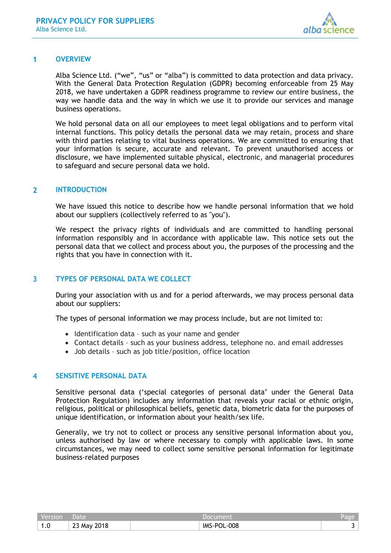

#### <span id="page-2-0"></span> $\blacktriangleleft$ **OVERVIEW**

Alba Science Ltd. ("we", "us" or "alba") is committed to data protection and data privacy. With the General Data Protection Regulation (GDPR) becoming enforceable from 25 May 2018, we have undertaken a GDPR readiness programme to review our entire business, the way we handle data and the way in which we use it to provide our services and manage business operations.

We hold personal data on all our employees to meet legal obligations and to perform vital internal functions. This policy details the personal data we may retain, process and share with third parties relating to vital business operations. We are committed to ensuring that your information is secure, accurate and relevant. To prevent unauthorised access or disclosure, we have implemented suitable physical, electronic, and managerial procedures to safeguard and secure personal data we hold.

#### <span id="page-2-1"></span> $\overline{2}$ **INTRODUCTION**

We have issued this notice to describe how we handle personal information that we hold about our suppliers (collectively referred to as "you").

We respect the privacy rights of individuals and are committed to handling personal information responsibly and in accordance with applicable law. This notice sets out the personal data that we collect and process about you, the purposes of the processing and the rights that you have in connection with it.

#### <span id="page-2-2"></span> $\overline{\mathbf{3}}$ **TYPES OF PERSONAL DATA WE COLLECT**

During your association with us and for a period afterwards, we may process personal data about our suppliers:

The types of personal information we may process include, but are not limited to:

- Identification data such as your name and gender
- Contact details such as your business address, telephone no. and email addresses
- Job details such as job title/position, office location

#### <span id="page-2-3"></span>**SENSITIVE PERSONAL DATA** 4

Sensitive personal data ('special categories of personal data' under the General Data Protection Regulation) includes any information that reveals your racial or ethnic origin, religious, political or philosophical beliefs, genetic data, biometric data for the purposes of unique identification, or information about your health/sex life.

Generally, we try not to collect or process any sensitive personal information about you, unless authorised by law or where necessary to comply with applicable laws. In some circumstances, we may need to collect some sensitive personal information for legitimate business-related purposes

| Version | ' Date,     | Document    | Page <sup>'</sup> |
|---------|-------------|-------------|-------------------|
| 1.0     | 23 May 2018 | IMS-POL-008 |                   |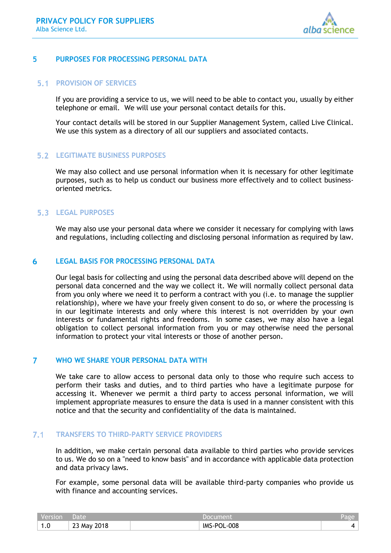

#### <span id="page-3-0"></span>5 **PURPOSES FOR PROCESSING PERSONAL DATA**

### **5.1 PROVISION OF SERVICES**

If you are providing a service to us, we will need to be able to contact you, usually by either telephone or email. We will use your personal contact details for this.

Your contact details will be stored in our Supplier Management System, called Live Clinical. We use this system as a directory of all our suppliers and associated contacts.

## **LEGITIMATE BUSINESS PURPOSES**

We may also collect and use personal information when it is necessary for other legitimate purposes, such as to help us conduct our business more effectively and to collect businessoriented metrics.

# **LEGAL PURPOSES**

We may also use your personal data where we consider it necessary for complying with laws and regulations, including collecting and disclosing personal information as required by law.

#### <span id="page-3-1"></span>6 **LEGAL BASIS FOR PROCESSING PERSONAL DATA**

Our legal basis for collecting and using the personal data described above will depend on the personal data concerned and the way we collect it. We will normally collect personal data from you only where we need it to perform a contract with you (i.e. to manage the supplier relationship), where we have your freely given consent to do so, or where the processing is in our legitimate interests and only where this interest is not overridden by your own interests or fundamental rights and freedoms. In some cases, we may also have a legal obligation to collect personal information from you or may otherwise need the personal information to protect your vital interests or those of another person.

#### <span id="page-3-2"></span> $\overline{7}$ **WHO WE SHARE YOUR PERSONAL DATA WITH**

We take care to allow access to personal data only to those who require such access to perform their tasks and duties, and to third parties who have a legitimate purpose for accessing it. Whenever we permit a third party to access personal information, we will implement appropriate measures to ensure the data is used in a manner consistent with this notice and that the security and confidentiality of the data is maintained.

#### $7.1$ **TRANSFERS TO THIRD-PARTY SERVICE PROVIDERS**

In addition, we make certain personal data available to third parties who provide services to us. We do so on a "need to know basis" and in accordance with applicable data protection and data privacy laws.

For example, some personal data will be available third-party companies who provide us with finance and accounting services.

| Version | Date           |             | Page |
|---------|----------------|-------------|------|
| 1.0     | 2018<br>23 May | IMS-POL-008 |      |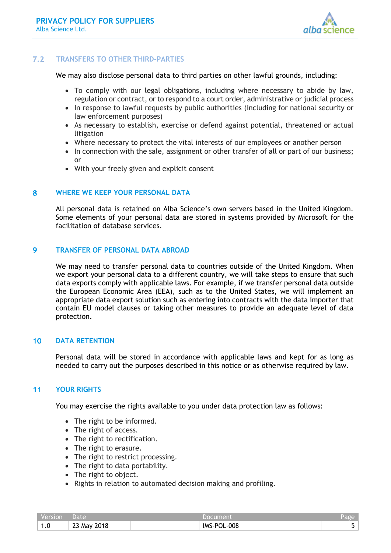

#### $7.2$ **TRANSFERS TO OTHER THIRD-PARTIES**

We may also disclose personal data to third parties on other lawful grounds, including:

- To comply with our legal obligations, including where necessary to abide by law, regulation or contract, or to respond to a court order, administrative or judicial process
- In response to lawful requests by public authorities (including for national security or law enforcement purposes)
- As necessary to establish, exercise or defend against potential, threatened or actual litigation
- Where necessary to protect the vital interests of our employees or another person
- In connection with the sale, assignment or other transfer of all or part of our business; or
- With your freely given and explicit consent

#### <span id="page-4-0"></span>8 **WHERE WE KEEP YOUR PERSONAL DATA**

All personal data is retained on Alba Science's own servers based in the United Kingdom. Some elements of your personal data are stored in systems provided by Microsoft for the facilitation of database services.

#### <span id="page-4-1"></span> $\overline{Q}$ **TRANSFER OF PERSONAL DATA ABROAD**

We may need to transfer personal data to countries outside of the United Kingdom. When we export your personal data to a different country, we will take steps to ensure that such data exports comply with applicable laws. For example, if we transfer personal data outside the European Economic Area (EEA), such as to the United States, we will implement an appropriate data export solution such as entering into contracts with the data importer that contain EU model clauses or taking other measures to provide an adequate level of data protection.

#### <span id="page-4-2"></span> $10<sup>°</sup>$ **DATA RETENTION**

Personal data will be stored in accordance with applicable laws and kept for as long as needed to carry out the purposes described in this notice or as otherwise required by law.

#### <span id="page-4-3"></span> $11$ **YOUR RIGHTS**

You may exercise the rights available to you under data protection law as follows:

- The right to be informed.
- The right of access.
- The right to rectification.
- The right to erasure.
- The right to restrict processing.
- The right to data portability.
- The right to object.
- Rights in relation to automated decision making and profiling.

| Version | Date        | Document    | Page |
|---------|-------------|-------------|------|
| 1.0     | 23 May 2018 | IMS-POL-008 |      |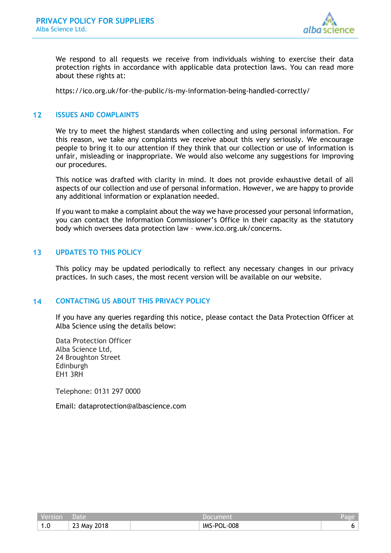

We respond to all requests we receive from individuals wishing to exercise their data protection rights in accordance with applicable data protection laws. You can read more about these rights at:

<https://ico.org.uk/for-the-public/is-my-information-being-handled-correctly/>

#### <span id="page-5-0"></span> $12<sup>1</sup>$ **ISSUES AND COMPLAINTS**

We try to meet the highest standards when collecting and using personal information. For this reason, we take any complaints we receive about this very seriously. We encourage people to bring it to our attention if they think that our collection or use of information is unfair, misleading or inappropriate. We would also welcome any suggestions for improving our procedures.

This notice was drafted with clarity in mind. It does not provide exhaustive detail of all aspects of our collection and use of personal information. However, we are happy to provide any additional information or explanation needed.

If you want to make a complaint about the way we have processed your personal information, you can contact the Information Commissioner's Office in their capacity as the statutory body which oversees data protection law – [www.ico.org.uk/concerns.](http://www.ico.org.uk/concerns)

#### <span id="page-5-1"></span> $13$ **UPDATES TO THIS POLICY**

This policy may be updated periodically to reflect any necessary changes in our privacy practices. In such cases, the most recent version will be available on our website.

#### <span id="page-5-2"></span> $14$ **CONTACTING US ABOUT THIS PRIVACY POLICY**

If you have any queries regarding this notice, please contact the Data Protection Officer at Alba Science using the details below:

Data Protection Officer Alba Science Ltd, 24 Broughton Street Edinburgh EH1 3RH

Telephone: 0131 297 0000

Email: dataprotection@albascience.com

| Version | <b>Date</b> |             | Page i |
|---------|-------------|-------------|--------|
| . . U   | 23 May 2018 | IMS-POL-008 |        |